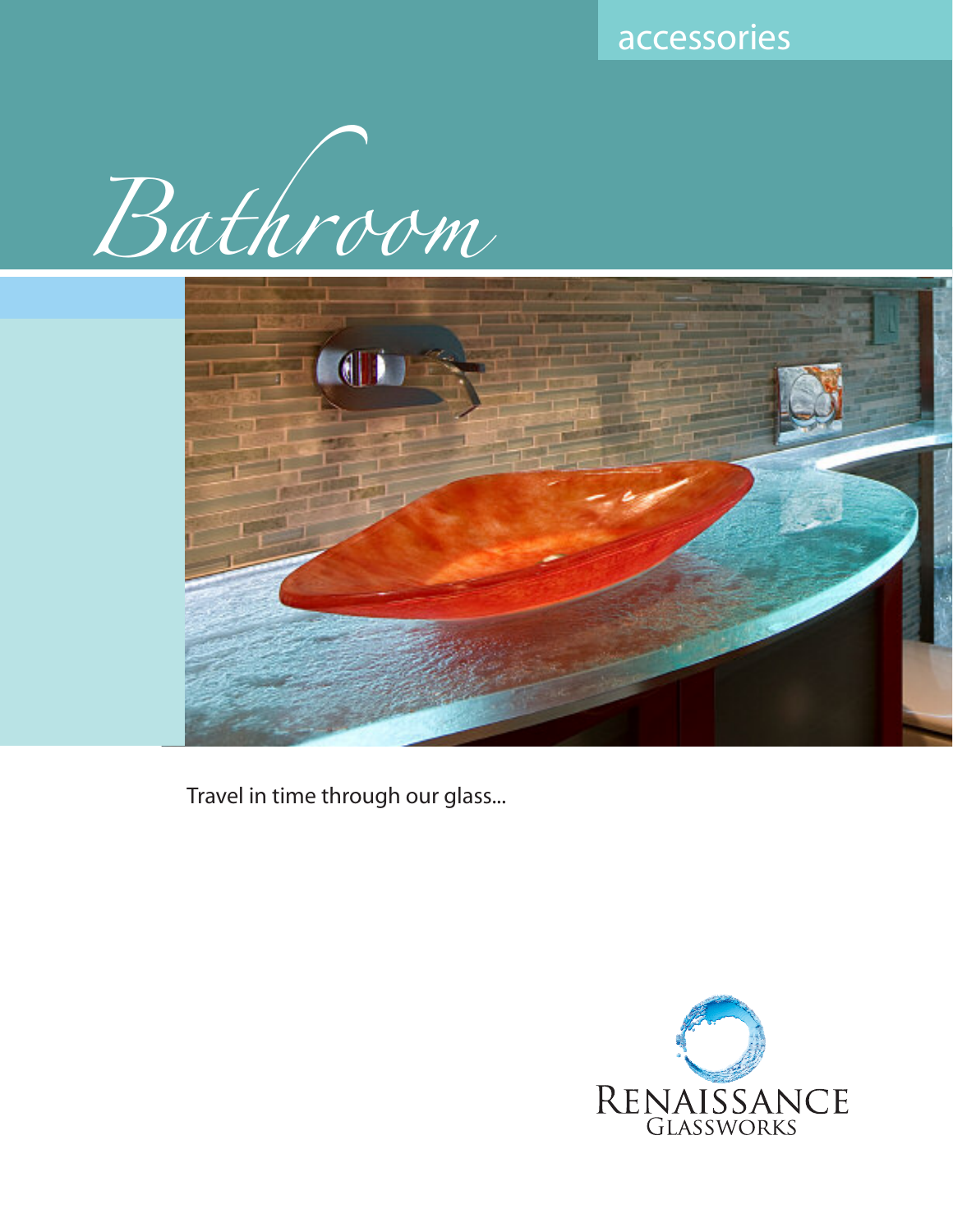accessories





Travel in time through our glass...

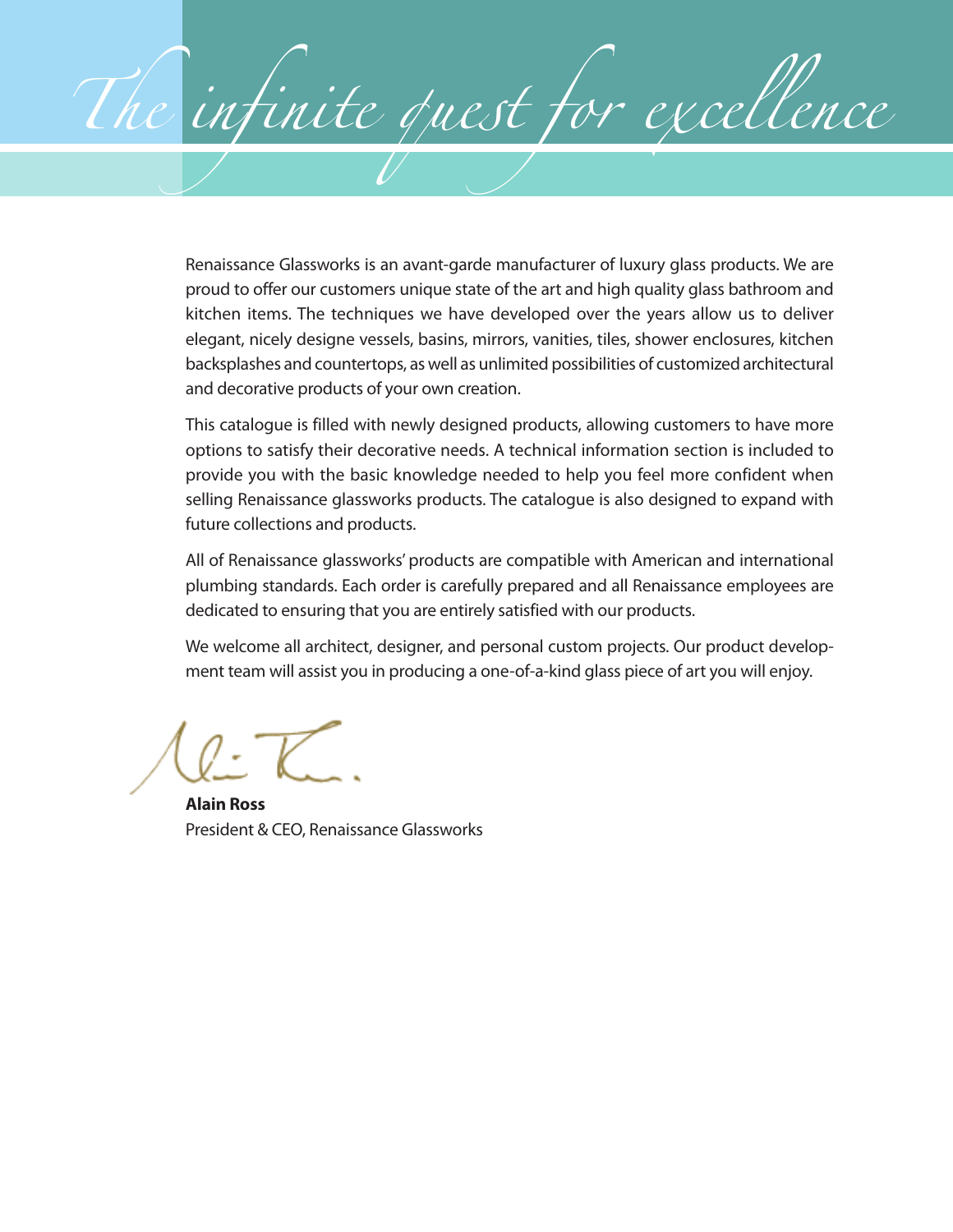Renaissance Glassworks is an avant-garde manufacturer of luxury glass products. We are proud to offer our customers unique state of the art and high quality glass bathroom and kitchen items. The techniques we have developed over the years allow us to deliver elegant, nicely designe vessels, basins, mirrors, vanities, tiles, shower enclosures, kitchen backsplashes and countertops, as well as unlimited possibilities of customized architectural and decorative products of your own creation.

The infinite quest for excellence

This catalogue is filled with newly designed products, allowing customers to have more options to satisfy their decorative needs. A technical information section is included to provide you with the basic knowledge needed to help you feel more confident when selling Renaissance glassworks products. The catalogue is also designed to expand with future collections and products.

All of Renaissance glassworks' products are compatible with American and international plumbing standards. Each order is carefully prepared and all Renaissance employees are dedicated to ensuring that you are entirely satisfied with our products.

We welcome all architect, designer, and personal custom projects. Our product development team will assist you in producing a one-of-a-kind glass piece of art you will enjoy.

**Alain Ross** President & CEO, Renaissance Glassworks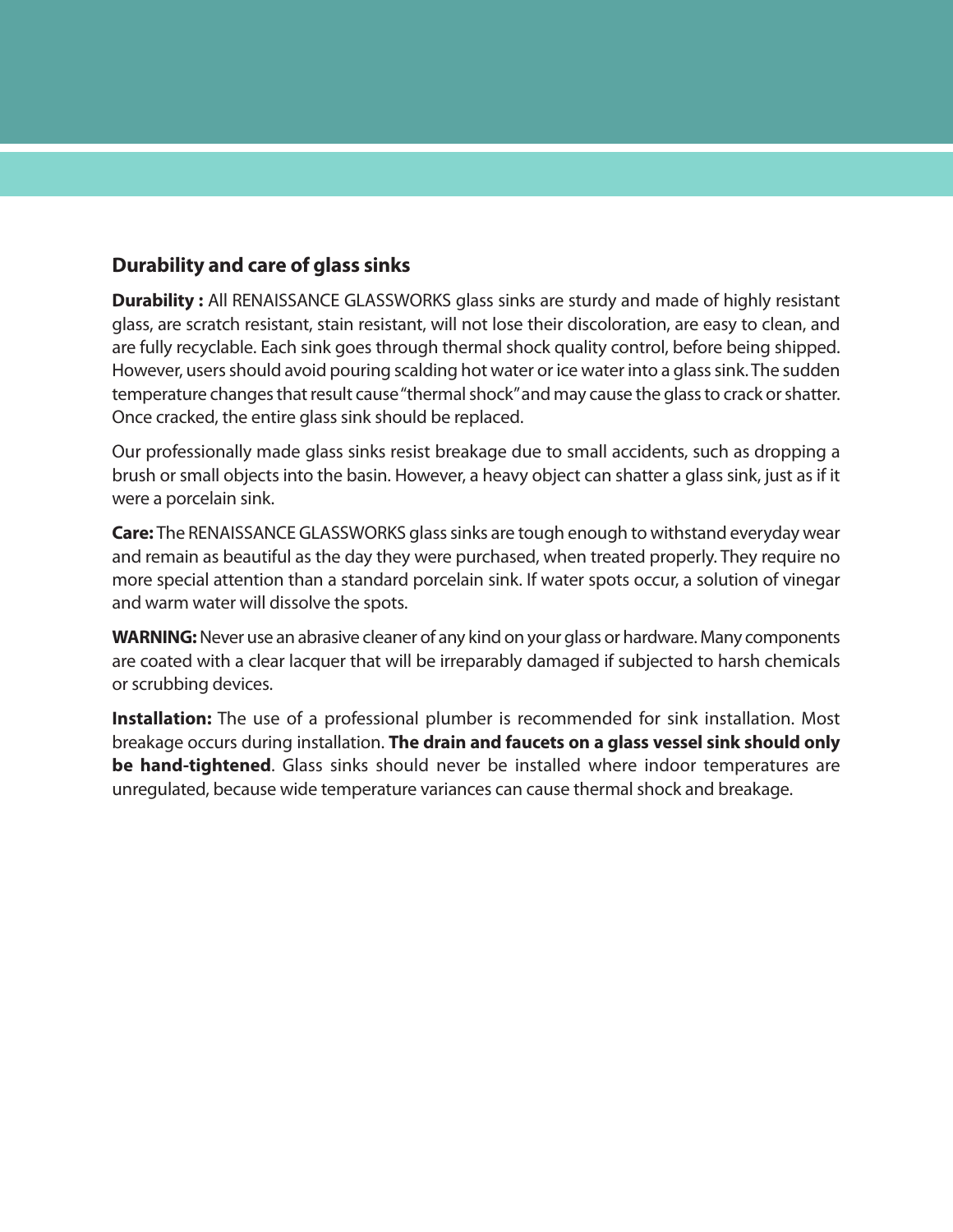## **Durability and care of glass sinks**

**Durability :** All RENAISSANCE GLASSWORKS glass sinks are sturdy and made of highly resistant glass, are scratch resistant, stain resistant, will not lose their discoloration, are easy to clean, and are fully recyclable. Each sink goes through thermal shock quality control, before being shipped. However, users should avoid pouring scalding hot water or ice water into a glass sink. The sudden temperature changes that result cause "thermal shock" and may cause the glass to crack or shatter. Once cracked, the entire glass sink should be replaced.

Our professionally made glass sinks resist breakage due to small accidents, such as dropping a brush or small objects into the basin. However, a heavy object can shatter a glass sink, just as if it were a porcelain sink.

**Care:** The RENAISSANCE GLASSWORKS glass sinks are tough enough to withstand everyday wear and remain as beautiful as the day they were purchased, when treated properly. They require no more special attention than a standard porcelain sink. If water spots occur, a solution of vinegar and warm water will dissolve the spots.

**WARNING:**Never use an abrasive cleaner of any kind on your glass or hardware. Many components are coated with a clear lacquer that will be irreparably damaged if subjected to harsh chemicals or scrubbing devices.

**Installation:** The use of a professional plumber is recommended for sink installation. Most breakage occurs during installation. **The drain and faucets on a glass vessel sink should only be hand-tightened**. Glass sinks should never be installed where indoor temperatures are unregulated, because wide temperature variances can cause thermal shock and breakage.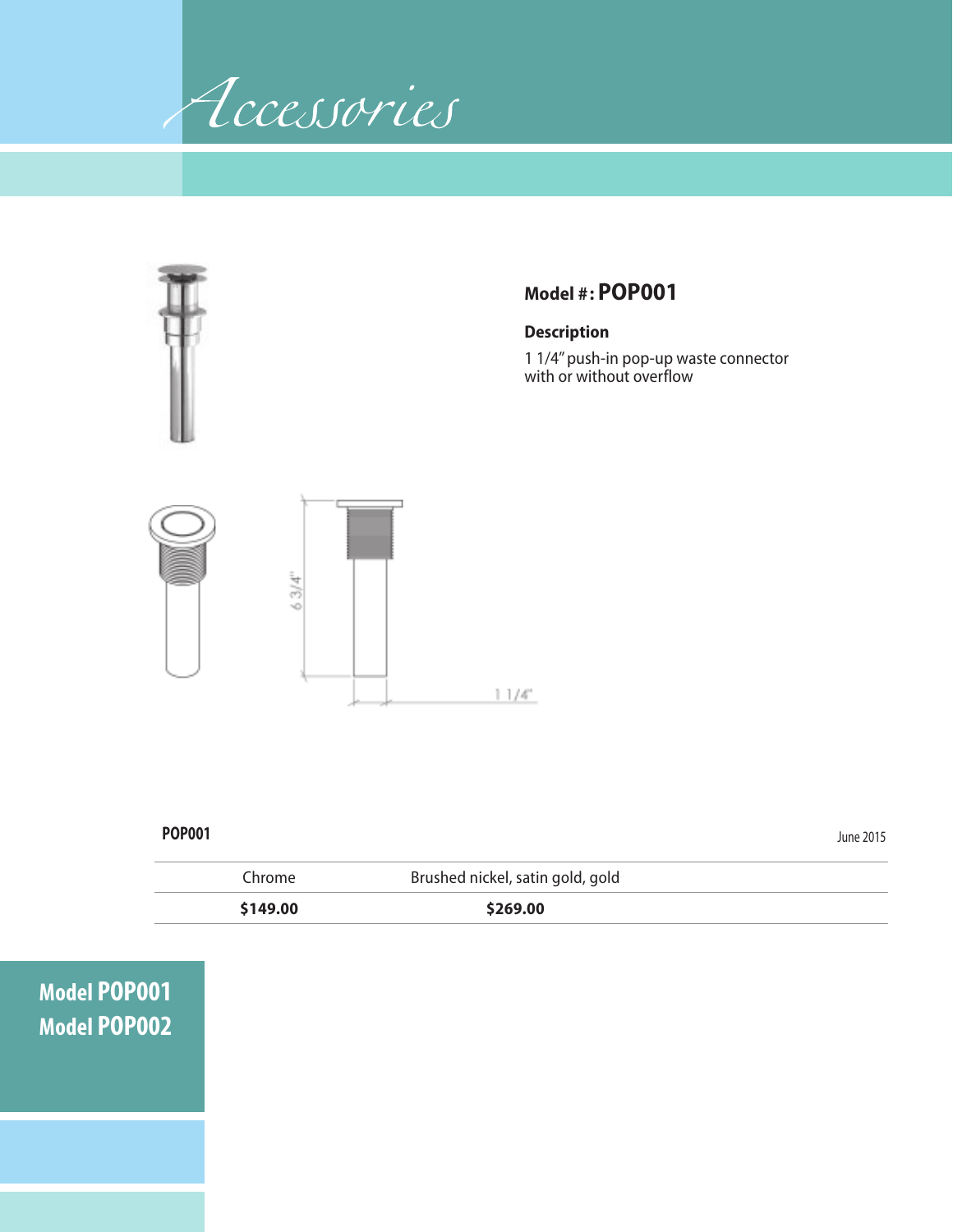



 **\$149.00 \$269.00**

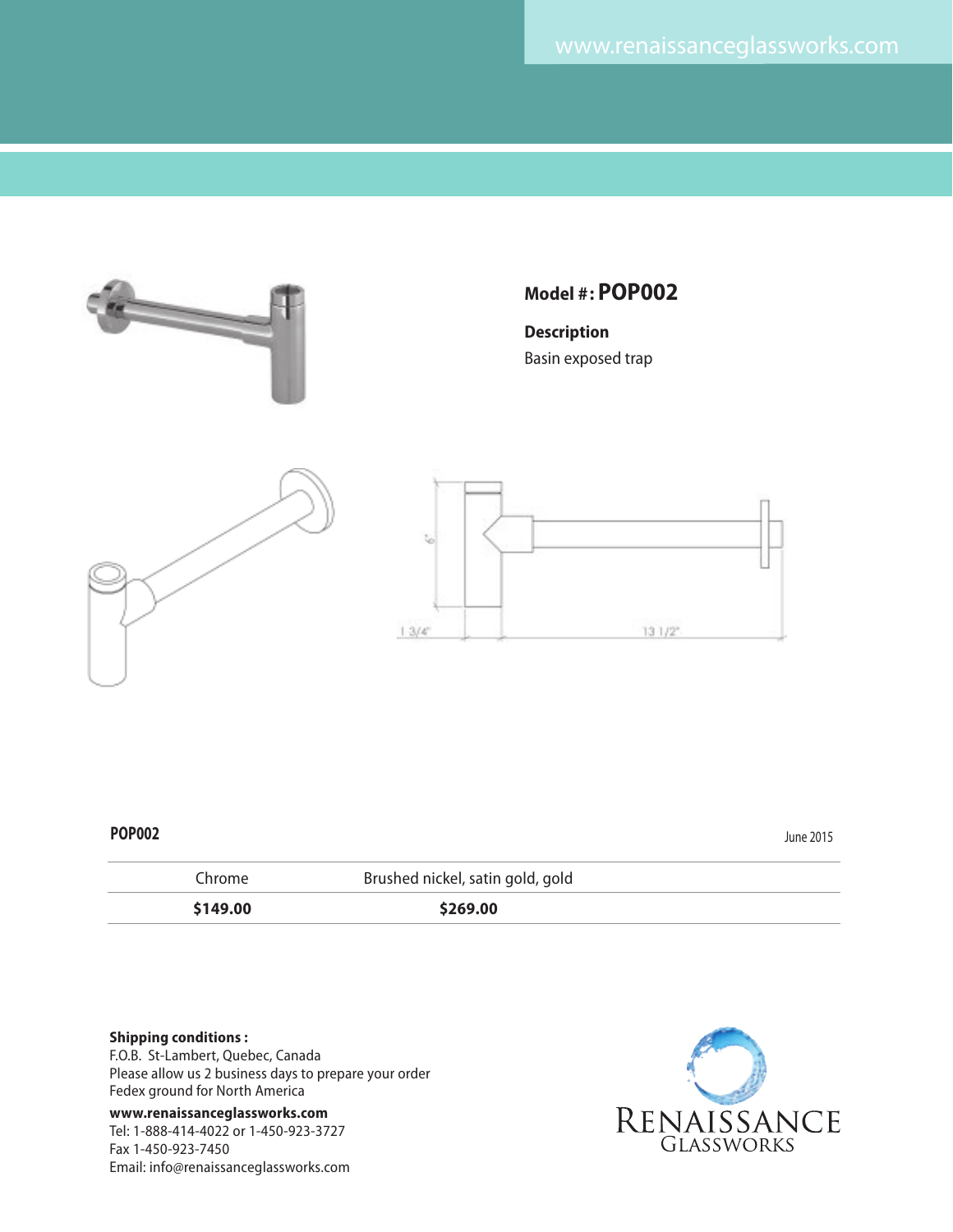

| Chrome   | Brushed nickel, satin gold, gold |  |
|----------|----------------------------------|--|
| \$149.00 | \$269.00                         |  |

#### **Shipping conditions :**

F.O.B. St-Lambert, Quebec, Canada Please allow us 2 business days to prepare your order Fedex ground for North America

**www.renaissanceglassworks.com** Tel: 1-888-414-4022 or 1-450-923-3727 Fax 1-450-923-7450 Email: info@renaissanceglassworks.com

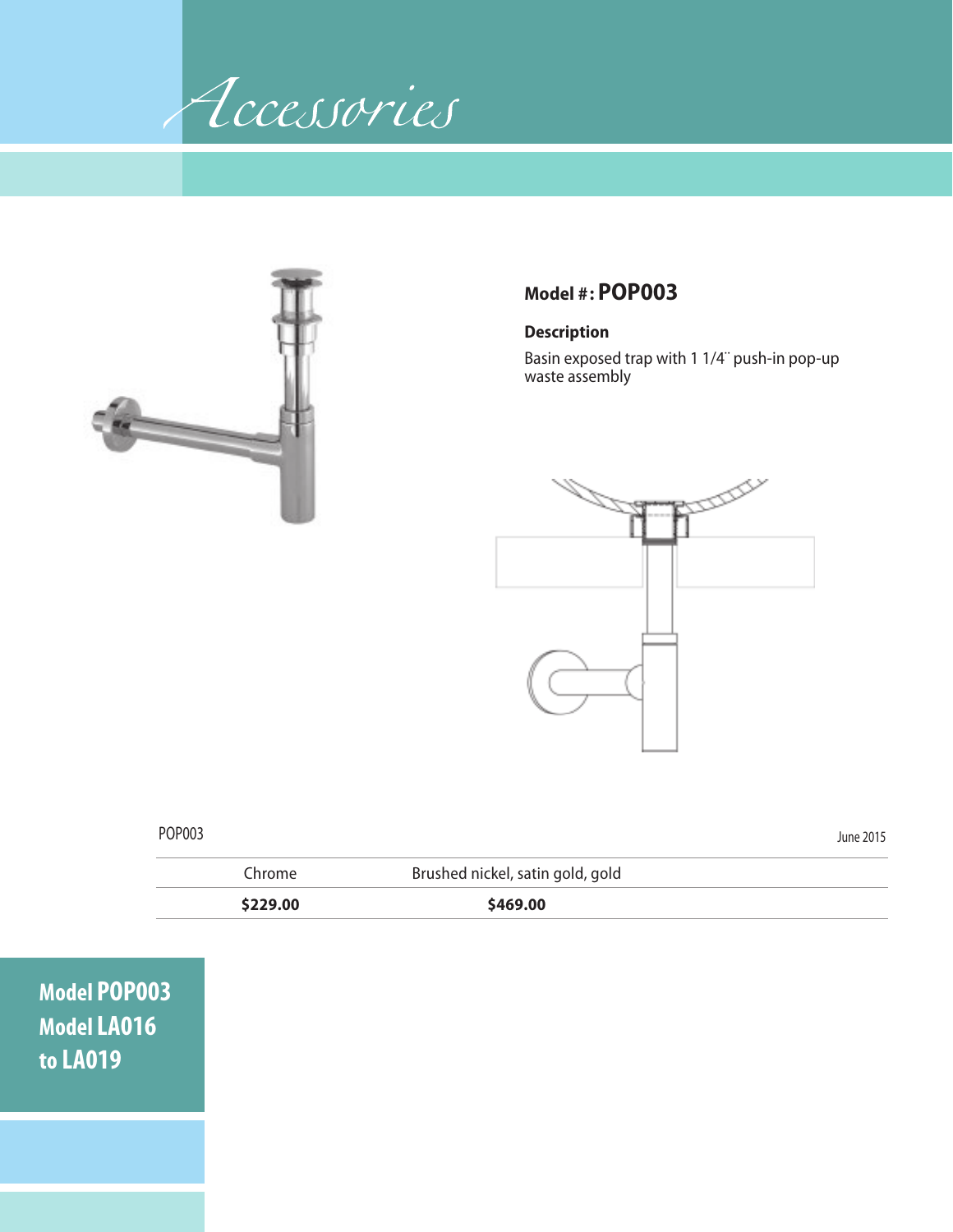Accessories



# **Model #: POP003**

### **Description**

Basin exposed trap with 1 1/4¨ push-in pop-up waste assembly



| POP003 |          |                                  | June 2015 |
|--------|----------|----------------------------------|-----------|
|        | Chrome   | Brushed nickel, satin gold, gold |           |
|        | \$229.00 | \$469.00                         |           |

**Model POP003 Model LA016 to LA019**